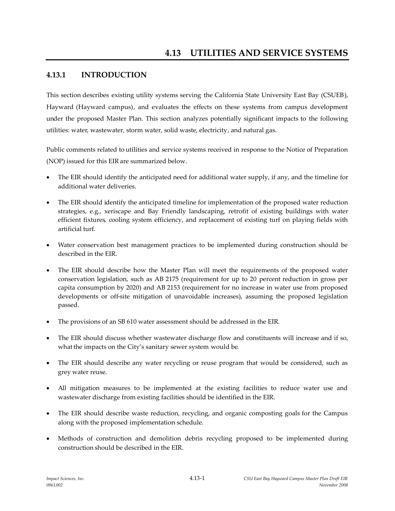# **4.13.1 INTRODUCTION**

This section describes existing utility systems serving the California State University East Bay (CSUEB), Hayward (Hayward campus), and evaluates the effects on these systems from campus development under the proposed Master Plan. This section analyzes potentially significant impacts to the following utilities: water, wastewater, storm water, solid waste, electricity, and natural gas.

Public comments related to utilities and service systems received in response to the Notice of Preparation (NOP) issued for this EIRare summarized below.

- The EIR should identify the anticipated need for additional water supply, if any, and the timeline for additional water deliveries.
- The EIR should identify the anticipated timeline for implementation of the proposed water reduction strategies, e.g., xeriscape and Bay Friendly landscaping, retrofit of existing buildings with water efficient fixtures, cooling system efficiency, and replacement of existing turf on playing fields with artificial turf.
- Water conservation best management practices to be implemented during construction should be described in the EIR.
- The EIR should describe how the Master Plan will meet the requirements of the proposed water conservation legislation, such as AB 2175 (requirement for up to 20 percent reduction in gross per capita consumption by 2020) and AB 2153 (requirement for no increase in water use from proposed developments or off-site mitigation of unavoidable increases), assuming the proposed legislation passed.
- The provisions of an SB 610 water assessment should be addressed in the EIR.
- The EIR should discuss whether wastewater discharge flow and constituents will increase and if so, what the impacts on the City's sanitary sewer system would be.
- The EIR should describe any water recycling or reuse program that would be considered, such as grey water reuse.
- All mitigation measures to be implemented at the existing facilities to reduce water use and wastewater discharge from existing facilities should be identified in the EIR.
- The EIR should describe waste reduction, recycling, and organic composting goals for the Campus along with the proposed implementation schedule.
- Methods of construction and demolition debris recycling proposed to be implemented during construction should be described in the EIR.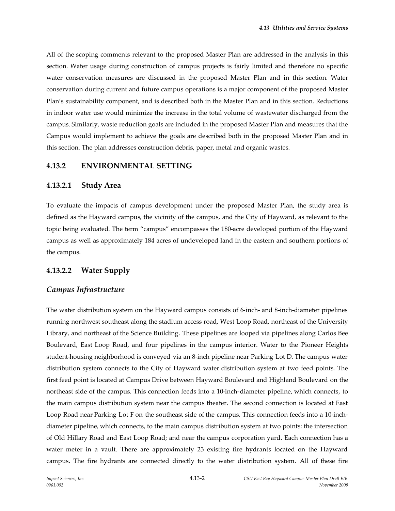All of the scoping comments relevant to the proposed Master Plan are addressed in the analysis in this section. Water usage during construction of campus projects is fairly limited and therefore no specific water conservation measures are discussed in the proposed Master Plan and in this section. Water conservation during current and future campus operations is a major component of the proposed Master Plan's sustainability component, and is described both in the Master Plan and in this section. Reductions in indoor water use would minimize the increase in the total volume of wastewater discharged from the campus. Similarly, waste reduction goals are included in the proposed Master Plan and measures that the Campus would implement to achieve the goals are described both in the proposed Master Plan and in this section. The plan addresses construction debris, paper, metal and organic wastes.

#### **4.13.2 ENVIRONMENTAL SETTING**

### **4.13.2.1 Study Area**

To evaluate the impacts of campus development under the proposed Master Plan, the study area is defined as the Hayward campus, the vicinity of the campus, and the City of Hayward, as relevant to the topic being evaluated. The term "campus" encompasses the 180-acre developed portion of the Hayward campus as well as approximately 184 acres of undeveloped land in the eastern and southern portions of the campus.

## **4.13.2.2 Water Supply**

## *Campus Infrastructure*

The water distribution system on the Hayward campus consists of 6-inch- and 8-inch-diameter pipelines running northwest southeast along the stadium access road, West Loop Road, northeast of the University Library, and northeast of the Science Building. These pipelines are looped via pipelines along Carlos Bee Boulevard, East Loop Road, and four pipelines in the campus interior. Water to the Pioneer Heights student-housing neighborhood is conveyed via an 8-inch pipeline near Parking Lot D. The campus water distribution system connects to the City of Hayward water distribution system at two feed points. The first feed point is located at Campus Drive between Hayward Boulevard and Highland Boulevard on the northeast side of the campus. This connection feeds into a 10-inch-diameter pipeline, which connects, to the main campus distribution system near the campus theater. The second connection is located at East Loop Road near Parking Lot F on the southeast side of the campus. This connection feeds into a 10-inchdiameter pipeline, which connects, to the main campus distribution system at two points: the intersection of Old Hillary Road and East Loop Road; and near the campus corporation yard. Each connection has a water meter in a vault. There are approximately 23 existing fire hydrants located on the Hayward campus. The fire hydrants are connected directly to the water distribution system. All of these fire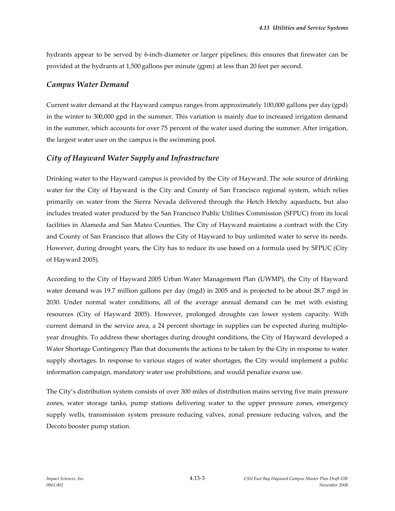hydrants appear to be served by 6-inch-diameter or larger pipelines; this ensures that firewater can be provided at the hydrants at 1,500 gallons per minute (gpm) at less than 20 feet per second.

### *Campus Water Demand*

Current water demand at the Hayward campus ranges from approximately 100,000 gallons per day (gpd) in the winter to 300,000 gpd in the summer. This variation is mainly due to increased irrigation demand in the summer, which accounts for over 75 percent of the water used during the summer. After irrigation, the largest water user on the campus is the swimming pool.

# *City of Hayward Water Supply and Infrastructure*

Drinking water to the Hayward campus is provided by the City of Hayward. The sole source of drinking water for the City of Hayward is the City and County of San Francisco regional system, which relies primarily on water from the Sierra Nevada delivered through the Hetch Hetchy aqueducts, but also includes treated water produced by the San Francisco Public Utilities Commission (SFPUC) from its local facilities in Alameda and San Mateo Counties. The City of Hayward maintains a contract with the City and County of San Francisco that allows the City of Hayward to buy unlimited water to serve its needs. However, during drought years, the City has to reduce its use based on a formula used by SFPUC (City of Hayward 2005).

According to the City of Hayward 2005 Urban Water Management Plan (UWMP), the City of Hayward water demand was 19.7 million gallons per day (mgd) in 2005 and is projected to be about 28.7 mgd in 2030. Under normal water conditions, all of the average annual demand can be met with existing resources (City of Hayward 2005). However, prolonged droughts can lower system capacity. With current demand in the service area, a 24 percent shortage in supplies can be expected during multipleyear droughts. To address these shortages during drought conditions, the City of Hayward developed a Water Shortage Contingency Plan that documents the actions to be taken by the City in response to water supply shortages. In response to various stages of water shortages, the City would implement a public information campaign, mandatory water use prohibitions, and would penalize excess use.

The City's distribution system consists of over 300 miles of distribution mains serving five main pressure zones, water storage tanks, pump stations delivering water to the upper pressure zones, emergency supply wells, transmission system pressure reducing valves, zonal pressure reducing valves, and the Decoto booster pump station.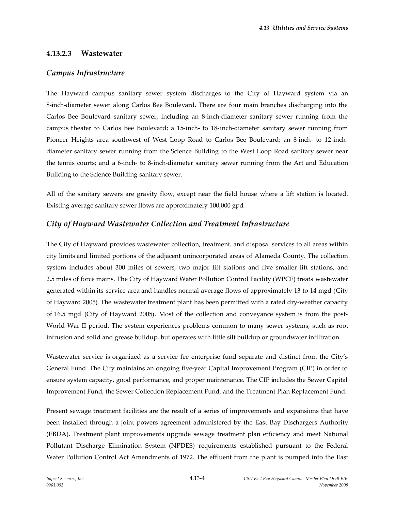# **4.13.2.3 Wastewater**

## *Campus Infrastructure*

The Hayward campus sanitary sewer system discharges to the City of Hayward system via an 8-inch-diameter sewer along Carlos Bee Boulevard. There are four main branches discharging into the Carlos Bee Boulevard sanitary sewer, including an 8-inch-diameter sanitary sewer running from the campus theater to Carlos Bee Boulevard; a 15-inch- to 18-inch-diameter sanitary sewer running from Pioneer Heights area southwest of West Loop Road to Carlos Bee Boulevard; an 8-inch- to 12-inchdiameter sanitary sewer running from the Science Building to the West Loop Road sanitary sewer near the tennis courts; and a 6-inch- to 8-inch-diameter sanitary sewer running from the Art and Education Building to the Science Building sanitary sewer.

All of the sanitary sewers are gravity flow, except near the field house where a lift station is located. Existing average sanitary sewer flows are approximately 100,000 gpd.

# *City of Hayward Wastewater Collection and Treatment Infrastructure*

The City of Hayward provides wastewater collection, treatment, and disposal services to all areas within city limits and limited portions of the adjacent unincorporated areas of Alameda County. The collection system includes about 300 miles of sewers, two major lift stations and five smaller lift stations, and 2.5 miles of force mains. The City of Hayward Water Pollution Control Facility (WPCF) treats wastewater generated within its service area and handles normal average flows of approximately 13 to 14 mgd (City of Hayward 2005). The wastewater treatment plant has been permitted with a rated dry-weather capacity of 16.5 mgd (City of Hayward 2005). Most of the collection and conveyance system is from the post-World War II period. The system experiences problems common to many sewer systems, such as root intrusion and solid and grease buildup, but operates with little silt buildup or groundwater infiltration.

Wastewater service is organized as a service fee enterprise fund separate and distinct from the City's General Fund. The City maintains an ongoing five-year Capital Improvement Program (CIP) in order to ensure system capacity, good performance, and proper maintenance. The CIP includes the Sewer Capital Improvement Fund, the Sewer Collection Replacement Fund, and the Treatment Plan Replacement Fund.

Present sewage treatment facilities are the result of a series of improvements and expansions that have been installed through a joint powers agreement administered by the East Bay Dischargers Authority (EBDA). Treatment plant improvements upgrade sewage treatment plan efficiency and meet National Pollutant Discharge Elimination System (NPDES) requirements established pursuant to the Federal Water Pollution Control Act Amendments of 1972. The effluent from the plant is pumped into the East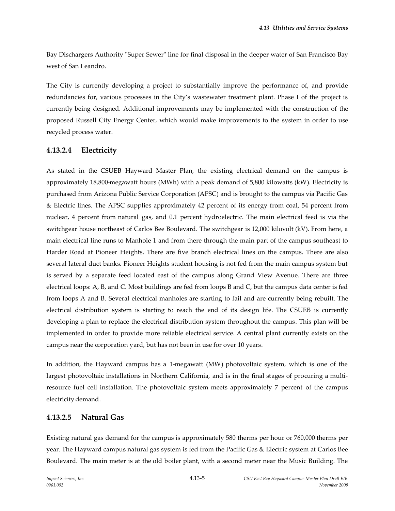Bay Dischargers Authority "Super Sewer" line for final disposal in the deeper water of San Francisco Bay west of San Leandro.

The City is currently developing a project to substantially improve the performance of, and provide redundancies for, various processes in the City's wastewater treatment plant. Phase I of the project is currently being designed. Additional improvements may be implemented with the construction of the proposed Russell City Energy Center, which would make improvements to the system in order to use recycled process water.

# **4.13.2.4 Electricity**

As stated in the CSUEB Hayward Master Plan, the existing electrical demand on the campus is approximately 18,800-megawatt hours (MWh) with a peak demand of 5,800 kilowatts (kW). Electricity is purchased from Arizona Public Service Corporation (APSC) and is brought to the campus via Pacific Gas & Electric lines. The APSC supplies approximately 42 percent of its energy from coal, 54 percent from nuclear, 4 percent from natural gas, and 0.1 percent hydroelectric. The main electrical feed is via the switchgear house northeast of Carlos Bee Boulevard. The switchgear is 12,000 kilovolt (kV). From here, a main electrical line runs to Manhole 1 and from there through the main part of the campus southeast to Harder Road at Pioneer Heights. There are five branch electrical lines on the campus. There are also several lateral duct banks. Pioneer Heights student housing is not fed from the main campus system but is served by a separate feed located east of the campus along Grand View Avenue. There are three electrical loops: A, B, and C. Most buildings are fed from loops B and C, but the campus data center is fed from loops A and B. Several electrical manholes are starting to fail and are currently being rebuilt. The electrical distribution system is starting to reach the end of its design life. The CSUEB is currently developing a plan to replace the electrical distribution system throughout the campus. This plan will be implemented in order to provide more reliable electrical service. A central plant currently exists on the campus near the corporation yard, but has not been in use for over 10 years.

In addition, the Hayward campus has a 1-megawatt (MW) photovoltaic system, which is one of the largest photovoltaic installations in Northern California, and is in the final stages of procuring a multiresource fuel cell installation. The photovoltaic system meets approximately 7 percent of the campus electricity demand.

## **4.13.2.5 Natural Gas**

Existing natural gas demand for the campus is approximately 580 therms per hour or 760,000 therms per year. The Hayward campus natural gas system is fed from the Pacific Gas & Electric system at Carlos Bee Boulevard. The main meter is at the old boiler plant, with a second meter near the Music Building. The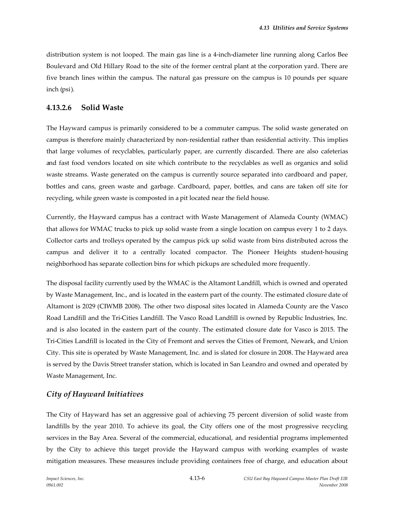distribution system is not looped. The main gas line is a 4-inch-diameter line running along Carlos Bee Boulevard and Old Hillary Road to the site of the former central plant at the corporation yard. There are five branch lines within the campus. The natural gas pressure on the campus is 10 pounds per square inch (psi).

# **4.13.2.6 Solid Waste**

The Hayward campus is primarily considered to be a commuter campus. The solid waste generated on campus is therefore mainly characterized by non-residential rather than residential activity. This implies that large volumes of recyclables, particularly paper, are currently discarded. There are also cafeterias and fast food vendors located on site which contribute to the recyclables as well as organics and solid waste streams. Waste generated on the campus is currently source separated into cardboard and paper, bottles and cans, green waste and garbage. Cardboard, paper, bottles, and cans are taken off site for recycling, while green waste is composted in a pit located near the field house.

Currently, the Hayward campus has a contract with Waste Management of Alameda County (WMAC) that allows for WMAC trucks to pick up solid waste from a single location on campus every 1 to 2 days. Collector carts and trolleys operated by the campus pick up solid waste from bins distributed across the campus and deliver it to a centrally located compactor. The Pioneer Heights student-housing neighborhood has separate collection bins for which pickups are scheduled more frequently.

The disposal facility currently used by the WMAC is the Altamont Landfill, which is owned and operated by Waste Management, Inc., and is located in the eastern part of the county. The estimated closure date of Altamont is 2029 (CIWMB 2008). The other two disposal sites located in Alameda County are the Vasco Road Landfill and the Tri-Cities Landfill. The Vasco Road Landfill is owned by Republic Industries, Inc. and is also located in the eastern part of the county. The estimated closure date for Vasco is 2015. The Tri-Cities Landfill is located in the City of Fremont and serves the Cities of Fremont, Newark, and Union City. This site is operated by Waste Management, Inc. and is slated for closure in 2008. The Hayward area is served by the Davis Street transfer station, which is located in San Leandro and owned and operated by Waste Management, Inc.

# *City of Hayward Initiatives*

The City of Hayward has set an aggressive goal of achieving 75 percent diversion of solid waste from landfills by the year 2010. To achieve its goal, the City offers one of the most progressive recycling services in the Bay Area. Several of the commercial, educational, and residential programs implemented by the City to achieve this target provide the Hayward campus with working examples of waste mitigation measures. These measures include providing containers free of charge, and education about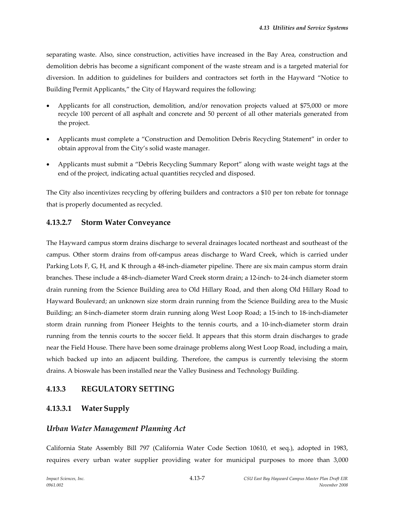separating waste. Also, since construction, activities have increased in the Bay Area, construction and demolition debris has become a significant component of the waste stream and is a targeted material for diversion. In addition to guidelines for builders and contractors set forth in the Hayward "Notice to Building Permit Applicants," the City of Hayward requires the following:

- Applicants for all construction, demolition, and/or renovation projects valued at \$75,000 or more recycle 100 percent of all asphalt and concrete and 50 percent of all other materials generated from the project.
- Applicants must complete a "Construction and Demolition Debris Recycling Statement" in order to obtain approval from the City's solid waste manager.
- Applicants must submit a "Debris Recycling Summary Report" along with waste weight tags at the end of the project, indicating actual quantities recycled and disposed.

The City also incentivizes recycling by offering builders and contractors a \$10 per ton rebate for tonnage that is properly documented as recycled.

## **4.13.2.7 Storm Water Conveyance**

The Hayward campus storm drains discharge to several drainages located northeast and southeast of the campus. Other storm drains from off-campus areas discharge to Ward Creek, which is carried under Parking Lots F, G, H, and K through a 48-inch-diameter pipeline. There are six main campus storm drain branches. These include a 48-inch-diameter Ward Creek storm drain; a 12-inch- to 24-inch diameter storm drain running from the Science Building area to Old Hillary Road, and then along Old Hillary Road to Hayward Boulevard; an unknown size storm drain running from the Science Building area to the Music Building; an 8-inch-diameter storm drain running along West Loop Road; a 15-inch to 18-inch-diameter storm drain running from Pioneer Heights to the tennis courts, and a 10-inch-diameter storm drain running from the tennis courts to the soccer field. It appears that this storm drain discharges to grade near the Field House. There have been some drainage problems along West Loop Road, including a main, which backed up into an adjacent building. Therefore, the campus is currently televising the storm drains. A bioswale has been installed near the Valley Business and Technology Building.

## **4.13.3 REGULATORY SETTING**

# **4.13.3.1 Water Supply**

## *Urban Water Management Planning Act*

California State Assembly Bill 797 (California Water Code Section 10610, et seq.), adopted in 1983, requires every urban water supplier providing water for municipal purposes to more than 3,000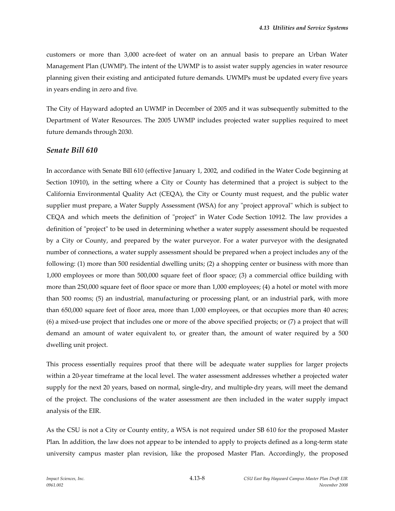customers or more than 3,000 acre-feet of water on an annual basis to prepare an Urban Water Management Plan (UWMP). The intent of the UWMP is to assist water supply agencies in water resource planning given their existing and anticipated future demands. UWMPs must be updated every five years in years ending in zero and five.

The City of Hayward adopted an UWMP in December of 2005 and it was subsequently submitted to the Department of Water Resources. The 2005 UWMP includes projected water supplies required to meet future demands through 2030.

#### *Senate Bill 610*

In accordance with Senate Bill 610 (effective January 1, 2002, and codified in the Water Code beginning at Section 10910), in the setting where a City or County has determined that a project is subject to the California Environmental Quality Act (CEQA), the City or County must request, and the public water supplier must prepare, a Water Supply Assessment (WSA) for any "project approval" which is subject to CEQA and which meets the definition of "project" in Water Code Section 10912. The law provides a definition of "project" to be used in determining whether a water supply assessment should be requested by a City or County, and prepared by the water purveyor. For a water purveyor with the designated number of connections, a water supply assessment should be prepared when a project includes any of the following: (1) more than 500 residential dwelling units; (2) a shopping center or business with more than 1,000 employees or more than 500,000 square feet of floor space; (3) a commercial office building with more than 250,000 square feet of floor space or more than 1,000 employees; (4) a hotel or motel with more than 500 rooms; (5) an industrial, manufacturing or processing plant, or an industrial park, with more than 650,000 square feet of floor area, more than 1,000 employees, or that occupies more than 40 acres; (6) a mixed-use project that includes one or more of the above specified projects; or (7) a project that will demand an amount of water equivalent to, or greater than, the amount of water required by a 500 dwelling unit project.

This process essentially requires proof that there will be adequate water supplies for larger projects within a 20-year timeframe at the local level. The water assessment addresses whether a projected water supply for the next 20 years, based on normal, single-dry, and multiple-dry years, will meet the demand of the project. The conclusions of the water assessment are then included in the water supply impact analysis of the EIR.

As the CSU is not a City or County entity, a WSA is not required under SB 610 for the proposed Master Plan. In addition, the law does not appear to be intended to apply to projects defined as a long-term state university campus master plan revision, like the proposed Master Plan. Accordingly, the proposed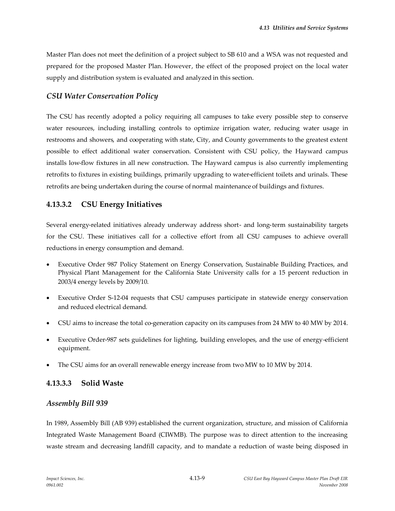Master Plan does not meet the definition of a project subject to SB 610 and a WSA was not requested and prepared for the proposed Master Plan. However, the effect of the proposed project on the local water supply and distribution system is evaluated and analyzed in this section.

## *CSU Water Conservation Policy*

The CSU has recently adopted a policy requiring all campuses to take every possible step to conserve water resources, including installing controls to optimize irrigation water, reducing water usage in restrooms and showers, and cooperating with state, City, and County governments to the greatest extent possible to effect additional water conservation. Consistent with CSU policy, the Hayward campus installs low-flow fixtures in all new construction. The Hayward campus is also currently implementing retrofits to fixtures in existing buildings, primarily upgrading to water-efficient toilets and urinals. These retrofits are being undertaken during the course of normal maintenance of buildings and fixtures.

# **4.13.3.2 CSU Energy Initiatives**

Several energy-related initiatives already underway address short- and long-term sustainability targets for the CSU. These initiatives call for a collective effort from all CSU campuses to achieve overall reductions in energy consumption and demand.

- Executive Order 987 Policy Statement on Energy Conservation, Sustainable Building Practices, and Physical Plant Management for the California State University calls for a 15 percent reduction in 2003/4 energy levels by 2009/10.
- Executive Order S-12-04 requests that CSU campuses participate in statewide energy conservation and reduced electrical demand.
- CSU aims to increase the total co-generation capacity on its campuses from 24 MW to 40 MW by 2014.
- Executive Order-987 sets guidelines for lighting, building envelopes, and the use of energy-efficient equipment.
- The CSU aims for an overall renewable energy increase from two MW to 10 MW by 2014.

# **4.13.3.3 Solid Waste**

## *Assembly Bill 939*

In 1989, Assembly Bill (AB 939) established the current organization, structure, and mission of California Integrated Waste Management Board (CIWMB). The purpose was to direct attention to the increasing waste stream and decreasing landfill capacity, and to mandate a reduction of waste being disposed in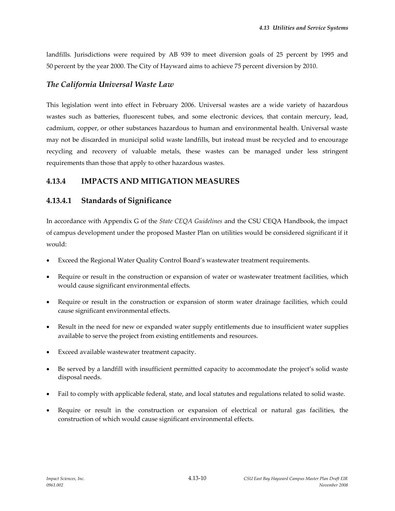landfills. Jurisdictions were required by AB 939 to meet diversion goals of 25 percent by 1995 and 50 percent by the year 2000. The City of Hayward aims to achieve 75 percent diversion by 2010.

#### *The California Universal Waste Law*

This legislation went into effect in February 2006. Universal wastes are a wide variety of hazardous wastes such as batteries, fluorescent tubes, and some electronic devices, that contain mercury, lead, cadmium, copper, or other substances hazardous to human and environmental health. Universal waste may not be discarded in municipal solid waste landfills, but instead must be recycled and to encourage recycling and recovery of valuable metals, these wastes can be managed under less stringent requirements than those that apply to other hazardous wastes.

# **4.13.4 IMPACTS AND MITIGATION MEASURES**

## **4.13.4.1 Standards of Significance**

In accordance with Appendix G of the *State CEQA Guidelines* and the CSU CEQA Handbook, the impact of campus development under the proposed Master Plan on utilities would be considered significant if it would:

- Exceed the Regional Water Quality Control Board's wastewater treatment requirements.
- Require or result in the construction or expansion of water or wastewater treatment facilities, which would cause significant environmental effects.
- Require or result in the construction or expansion of storm water drainage facilities, which could cause significant environmental effects.
- Result in the need for new or expanded water supply entitlements due to insufficient water supplies available to serve the project from existing entitlements and resources.
- Exceed available wastewater treatment capacity.
- Be served by a landfill with insufficient permitted capacity to accommodate the project's solid waste disposal needs.
- Fail to comply with applicable federal, state, and local statutes and regulations related to solid waste.
- Require or result in the construction or expansion of electrical or natural gas facilities, the construction of which would cause significant environmental effects.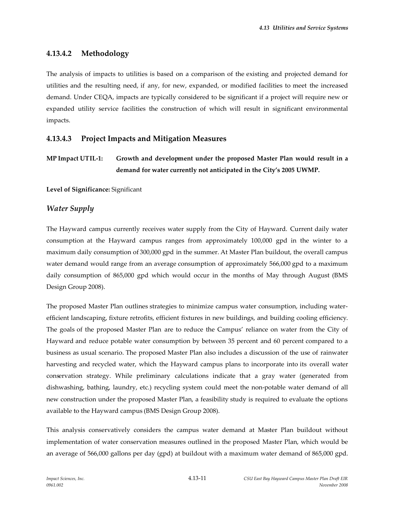# **4.13.4.2 Methodology**

The analysis of impacts to utilities is based on a comparison of the existing and projected demand for utilities and the resulting need, if any, for new, expanded, or modified facilities to meet the increased demand. Under CEQA, impacts are typically considered to be significant if a project will require new or expanded utility service facilities the construction of which will result in significant environmental impacts.

# **4.13.4.3 Project Impacts and Mitigation Measures**

```
MP Impact UTIL-1: Growth and development under the proposed Master Plan would result in a
         demand for water currently not anticipated in the City's 2005 UWMP.
```
**Level of Significance:** Significant

#### *Water Supply*

The Hayward campus currently receives water supply from the City of Hayward. Current daily water consumption at the Hayward campus ranges from approximately 100,000 gpd in the winter to a maximum daily consumption of 300,000 gpd in the summer. At Master Plan buildout, the overall campus water demand would range from an average consumption of approximately 566,000 gpd to a maximum daily consumption of 865,000 gpd which would occur in the months of May through August (BMS Design Group 2008).

The proposed Master Plan outlines strategies to minimize campus water consumption, including waterefficient landscaping, fixture retrofits, efficient fixtures in new buildings, and building cooling efficiency. The goals of the proposed Master Plan are to reduce the Campus' reliance on water from the City of Hayward and reduce potable water consumption by between 35 percent and 60 percent compared to a business as usual scenario. The proposed Master Plan also includes a discussion of the use of rainwater harvesting and recycled water, which the Hayward campus plans to incorporate into its overall water conservation strategy. While preliminary calculations indicate that a gray water (generated from dishwashing, bathing, laundry, etc.) recycling system could meet the non-potable water demand of all new construction under the proposed Master Plan, a feasibility study is required to evaluate the options available to the Hayward campus (BMS Design Group 2008).

This analysis conservatively considers the campus water demand at Master Plan buildout without implementation of water conservation measures outlined in the proposed Master Plan, which would be an average of 566,000 gallons per day (gpd) at buildout with a maximum water demand of 865,000 gpd.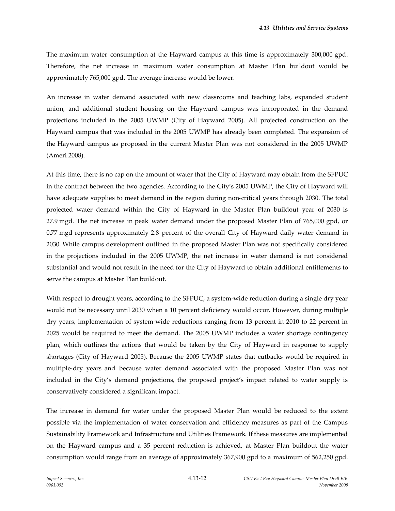The maximum water consumption at the Hayward campus at this time is approximately 300,000 gpd. Therefore, the net increase in maximum water consumption at Master Plan buildout would be approximately 765,000 gpd. The average increase would be lower.

An increase in water demand associated with new classrooms and teaching labs, expanded student union, and additional student housing on the Hayward campus was incorporated in the demand projections included in the 2005 UWMP (City of Hayward 2005). All projected construction on the Hayward campus that was included in the 2005 UWMP has already been completed. The expansion of the Hayward campus as proposed in the current Master Plan was not considered in the 2005 UWMP (Ameri 2008).

At this time, there is no cap on the amount of water that the City of Hayward may obtain from the SFPUC in the contract between the two agencies. According to the City's 2005 UWMP, the City of Hayward will have adequate supplies to meet demand in the region during non-critical years through 2030. The total projected water demand within the City of Hayward in the Master Plan buildout year of 2030 is 27.9 mgd. The net increase in peak water demand under the proposed Master Plan of 765,000 gpd, or 0.77 mgd represents approximately 2.8 percent of the overall City of Hayward daily water demand in 2030. While campus development outlined in the proposed Master Plan was not specifically considered in the projections included in the 2005 UWMP, the net increase in water demand is not considered substantial and would not result in the need for the City of Hayward to obtain additional entitlements to serve the campus at Master Plan buildout.

With respect to drought years, according to the SFPUC, a system-wide reduction during a single dry year would not be necessary until 2030 when a 10 percent deficiency would occur. However, during multiple dry years, implementation of system-wide reductions ranging from 13 percent in 2010 to 22 percent in 2025 would be required to meet the demand. The 2005 UWMP includes a water shortage contingency plan, which outlines the actions that would be taken by the City of Hayward in response to supply shortages (City of Hayward 2005). Because the 2005 UWMP states that cutbacks would be required in multiple-dry years and because water demand associated with the proposed Master Plan was not included in the City's demand projections, the proposed project's impact related to water supply is conservatively considered a significant impact.

The increase in demand for water under the proposed Master Plan would be reduced to the extent possible via the implementation of water conservation and efficiency measures as part of the Campus Sustainability Framework and Infrastructure and Utilities Framework. If these measures are implemented on the Hayward campus and a 35 percent reduction is achieved, at Master Plan buildout the water consumption would range from an average of approximately 367,900 gpd to a maximum of 562,250 gpd.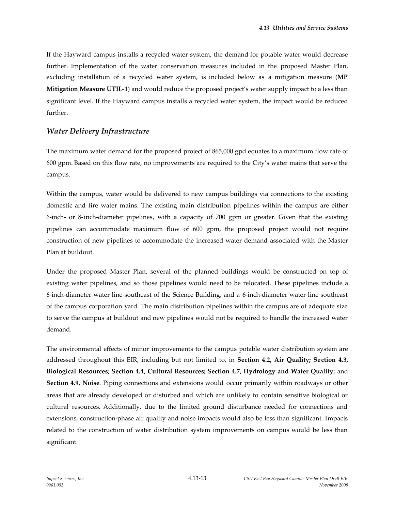If the Hayward campus installs a recycled water system, the demand for potable water would decrease further. Implementation of the water conservation measures included in the proposed Master Plan, excluding installation of a recycled water system, is included below as a mitigation measure (**MP Mitigation Measure UTIL-1**) and would reduce the proposed project's water supply impact to a less than significant level. If the Hayward campus installs a recycled water system, the impact would be reduced further.

### *Water Delivery Infrastructure*

The maximum water demand for the proposed project of 865,000 gpd equates to a maximum flow rate of 600 gpm. Based on this flow rate, no improvements are required to the City's water mains that serve the campus.

Within the campus, water would be delivered to new campus buildings via connections to the existing domestic and fire water mains. The existing main distribution pipelines within the campus are either 6-inch- or 8-inch-diameter pipelines, with a capacity of 700 gpm or greater. Given that the existing pipelines can accommodate maximum flow of 600 gpm, the proposed project would not require construction of new pipelines to accommodate the increased water demand associated with the Master Plan at buildout.

Under the proposed Master Plan, several of the planned buildings would be constructed on top of existing water pipelines, and so those pipelines would need to be relocated. These pipelines include a 6-inch-diameter water line southeast of the Science Building, and a 6-inch-diameter water line southeast of the campus corporation yard. The main distribution pipelines within the campus are of adequate size to serve the campus at buildout and new pipelines would not be required to handle the increased water demand.

The environmental effects of minor improvements to the campus potable water distribution system are addressed throughout this EIR, including but not limited to, in **Section 4.2, Air Quality; Section 4.3, Biological Resources; Section 4.4, Cultural Resources; Section 4.7, Hydrology and Water Quality**; and **Section 4.9, Noise**. Piping connections and extensions would occur primarily within roadways or other areas that are already developed or disturbed and which are unlikely to contain sensitive biological or cultural resources. Additionally, due to the limited ground disturbance needed for connections and extensions, construction-phase air quality and noise impacts would also be less than significant. Impacts related to the construction of water distribution system improvements on campus would be less than significant.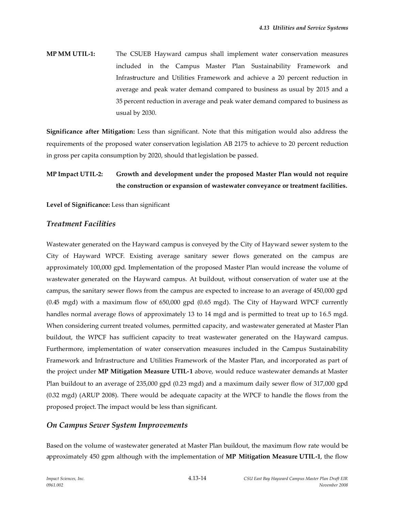**MP MM UTIL-1:** The CSUEB Hayward campus shall implement water conservation measures included in the Campus Master Plan Sustainability Framework and Infrastructure and Utilities Framework and achieve a 20 percent reduction in average and peak water demand compared to business as usual by 2015 and a 35 percent reduction in average and peak water demand compared to business as usual by 2030.

**Significance after Mitigation:** Less than significant. Note that this mitigation would also address the requirements of the proposed water conservation legislation AB 2175 to achieve to 20 percent reduction in gross per capita consumption by 2020, should that legislation be passed.

# **MP Impact UTIL-2: Growth and development under the proposed Master Plan would not require the construction or expansion of wastewater conveyance or treatment facilities.**

**Level of Significance:** Less than significant

# *Treatment Facilities*

Wastewater generated on the Hayward campus is conveyed by the City of Hayward sewer system to the City of Hayward WPCF. Existing average sanitary sewer flows generated on the campus are approximately 100,000 gpd. Implementation of the proposed Master Plan would increase the volume of wastewater generated on the Hayward campus. At buildout, without conservation of water use at the campus, the sanitary sewer flows from the campus are expected to increase to an average of 450,000 gpd (0.45 mgd) with a maximum flow of 650,000 gpd (0.65 mgd). The City of Hayward WPCF currently handles normal average flows of approximately 13 to 14 mgd and is permitted to treat up to 16.5 mgd. When considering current treated volumes, permitted capacity, and wastewater generated at Master Plan buildout, the WPCF has sufficient capacity to treat wastewater generated on the Hayward campus. Furthermore, implementation of water conservation measures included in the Campus Sustainability Framework and Infrastructure and Utilities Framework of the Master Plan, and incorporated as part of the project under **MP Mitigation Measure UTIL-1** above, would reduce wastewater demands at Master Plan buildout to an average of 235,000 gpd (0.23 mgd) and a maximum daily sewer flow of 317,000 gpd (0.32 mgd) (ARUP 2008). There would be adequate capacity at the WPCF to handle the flows from the proposed project. The impact would be less than significant.

## *On Campus Sewer System Improvements*

Based on the volume of wastewater generated at Master Plan buildout, the maximum flow rate would be approximately 450 gpm although with the implementation of **MP Mitigation Measure UTIL-1**, the flow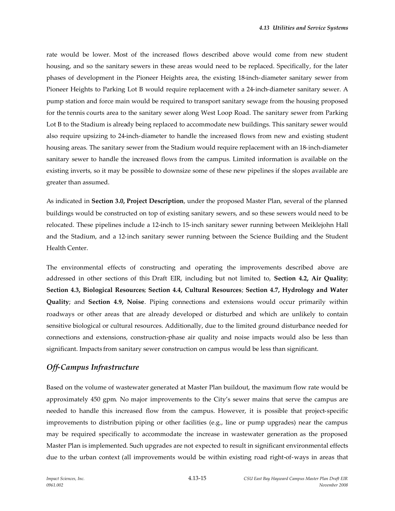rate would be lower. Most of the increased flows described above would come from new student housing, and so the sanitary sewers in these areas would need to be replaced. Specifically, for the later phases of development in the Pioneer Heights area, the existing 18-inch-diameter sanitary sewer from Pioneer Heights to Parking Lot B would require replacement with a 24-inch-diameter sanitary sewer. A pump station and force main would be required to transport sanitary sewage from the housing proposed for the tennis courts area to the sanitary sewer along West Loop Road. The sanitary sewer from Parking Lot B to the Stadium is already being replaced to accommodate new buildings. This sanitary sewer would also require upsizing to 24-inch-diameter to handle the increased flows from new and existing student housing areas. The sanitary sewer from the Stadium would require replacement with an 18-inch-diameter sanitary sewer to handle the increased flows from the campus. Limited information is available on the existing inverts, so it may be possible to downsize some of these new pipelines if the slopes available are greater than assumed.

As indicated in **Section 3.0, Project Description**, under the proposed Master Plan, several of the planned buildings would be constructed on top of existing sanitary sewers, and so these sewers would need to be relocated. These pipelines include a 12-inch to 15-inch sanitary sewer running between Meiklejohn Hall and the Stadium, and a 12-inch sanitary sewer running between the Science Building and the Student Health Center.

The environmental effects of constructing and operating the improvements described above are addressed in other sections of this Draft EIR, including but not limited to, **Section 4.2, Air Quality**; **Section 4.3, Biological Resources**; **Section 4.4, Cultural Resources**; **Section 4.7, Hydrology and Water Quality**; and **Section 4.9, Noise**. Piping connections and extensions would occur primarily within roadways or other areas that are already developed or disturbed and which are unlikely to contain sensitive biological or cultural resources. Additionally, due to the limited ground disturbance needed for connections and extensions, construction-phase air quality and noise impacts would also be less than significant. Impacts from sanitary sewer construction on campus would be less than significant.

# *Off-Campus Infrastructure*

Based on the volume of wastewater generated at Master Plan buildout, the maximum flow rate would be approximately 450 gpm. No major improvements to the City's sewer mains that serve the campus are needed to handle this increased flow from the campus. However, it is possible that project-specific improvements to distribution piping or other facilities (e.g., line or pump upgrades) near the campus may be required specifically to accommodate the increase in wastewater generation as the proposed Master Plan is implemented. Such upgrades are not expected to result in significant environmental effects due to the urban context (all improvements would be within existing road right-of-ways in areas that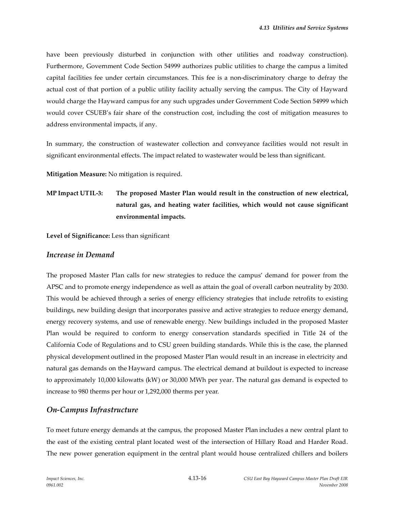have been previously disturbed in conjunction with other utilities and roadway construction). Furthermore, Government Code Section 54999 authorizes public utilities to charge the campus a limited capital facilities fee under certain circumstances. This fee is a non-discriminatory charge to defray the actual cost of that portion of a public utility facility actually serving the campus. The City of Hayward would charge the Hayward campus for any such upgrades under Government Code Section 54999 which would cover CSUEB's fair share of the construction cost, including the cost of mitigation measures to address environmental impacts, if any.

In summary, the construction of wastewater collection and conveyance facilities would not result in significant environmental effects. The impact related to wastewater would be less than significant.

**Mitigation Measure:** No mitigation is required.

**MP Impact UTIL-3: The proposed Master Plan would result in the construction of new electrical, natural gas, and heating water facilities, which would not cause significant environmental impacts.**

**Level of Significance:** Less than significant

#### *Increase in Demand*

The proposed Master Plan calls for new strategies to reduce the campus' demand for power from the APSC and to promote energy independence as well as attain the goal of overall carbon neutrality by 2030. This would be achieved through a series of energy efficiency strategies that include retrofits to existing buildings, new building design that incorporates passive and active strategies to reduce energy demand, energy recovery systems, and use of renewable energy. New buildings included in the proposed Master Plan would be required to conform to energy conservation standards specified in Title 24 of the California Code of Regulations and to CSU green building standards. While this is the case, the planned physical development outlined in the proposed Master Plan would result in an increase in electricity and natural gas demands on the Hayward campus. The electrical demand at buildout is expected to increase to approximately 10,000 kilowatts (kW) or 30,000 MWh per year. The natural gas demand is expected to increase to 980 therms per hour or 1,292,000 therms per year.

## *On-Campus Infrastructure*

To meet future energy demands at the campus, the proposed Master Plan includes a new central plant to the east of the existing central plant located west of the intersection of Hillary Road and Harder Road. The new power generation equipment in the central plant would house centralized chillers and boilers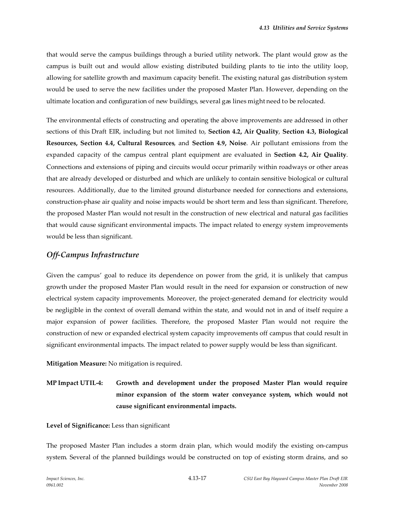that would serve the campus buildings through a buried utility network. The plant would grow as the campus is built out and would allow existing distributed building plants to tie into the utility loop, allowing for satellite growth and maximum capacity benefit. The existing natural gas distribution system would be used to serve the new facilities under the proposed Master Plan. However, depending on the ultimate location and configuration of new buildings, several gas lines might need to be relocated.

The environmental effects of constructing and operating the above improvements are addressed in other sections of this Draft EIR, including but not limited to, **Section 4.2, Air Quality**, **Section 4.3, Biological Resources, Section 4.4, Cultural Resources**, and **Section 4.9, Noise**. Air pollutant emissions from the expanded capacity of the campus central plant equipment are evaluated in **Section 4.2, Air Quality**. Connections and extensions of piping and circuits would occur primarily within roadways or other areas that are already developed or disturbed and which are unlikely to contain sensitive biological or cultural resources. Additionally, due to the limited ground disturbance needed for connections and extensions, construction-phase air quality and noise impacts would be short term and less than significant. Therefore, the proposed Master Plan would not result in the construction of new electrical and natural gas facilities that would cause significant environmental impacts. The impact related to energy system improvements would be less than significant.

### *Off-Campus Infrastructure*

Given the campus' goal to reduce its dependence on power from the grid, it is unlikely that campus growth under the proposed Master Plan would result in the need for expansion or construction of new electrical system capacity improvements. Moreover, the project-generated demand for electricity would be negligible in the context of overall demand within the state, and would not in and of itself require a major expansion of power facilities. Therefore, the proposed Master Plan would not require the construction of new or expanded electrical system capacity improvements off campus that could result in significant environmental impacts. The impact related to power supply would be less than significant.

**Mitigation Measure:** No mitigation is required.

**MP Impact UTIL-4: Growth and development under the proposed Master Plan would require minor expansion of the storm water conveyance system, which would not cause significant environmental impacts.**

**Level of Significance:** Less than significant

The proposed Master Plan includes a storm drain plan, which would modify the existing on-campus system. Several of the planned buildings would be constructed on top of existing storm drains, and so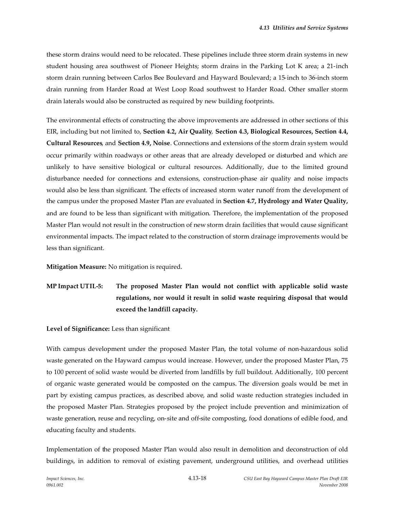these storm drains would need to be relocated. These pipelines include three storm drain systems in new student housing area southwest of Pioneer Heights; storm drains in the Parking Lot K area; a 21-inch storm drain running between Carlos Bee Boulevard and Hayward Boulevard; a 15-inch to 36-inch storm drain running from Harder Road at West Loop Road southwest to Harder Road. Other smaller storm drain laterals would also be constructed as required by new building footprints.

The environmental effects of constructing the above improvements are addressed in other sections of this EIR, including but not limited to, **Section 4.2, Air Quality**, **Section 4.3, Biological Resources, Section 4.4, Cultural Resources**, and **Section 4.9, Noise**. Connections and extensions of the storm drain system would occur primarily within roadways or other areas that are already developed or disturbed and which are unlikely to have sensitive biological or cultural resources. Additionally, due to the limited ground disturbance needed for connections and extensions, construction-phase air quality and noise impacts would also be less than significant. The effects of increased storm water runoff from the development of the campus under the proposed Master Plan are evaluated in **Section 4.7, Hydrology and Water Quality,** and are found to be less than significant with mitigation. Therefore, the implementation of the proposed Master Plan would not result in the construction of new storm drain facilities that would cause significant environmental impacts. The impact related to the construction of storm drainage improvements would be less than significant.

**Mitigation Measure:** No mitigation is required.

**MP Impact UTIL-5: The proposed Master Plan would not conflict with applicable solid waste regulations, nor would it result in solid waste requiring disposal that would exceed the landfill capacity.**

**Level of Significance:** Less than significant

With campus development under the proposed Master Plan, the total volume of non-hazardous solid waste generated on the Hayward campus would increase. However, under the proposed Master Plan, 75 to 100 percent of solid waste would be diverted from landfills by full buildout. Additionally, 100 percent of organic waste generated would be composted on the campus. The diversion goals would be met in part by existing campus practices, as described above, and solid waste reduction strategies included in the proposed Master Plan. Strategies proposed by the project include prevention and minimization of waste generation, reuse and recycling, on-site and off-site composting, food donations of edible food, and educating faculty and students.

Implementation of the proposed Master Plan would also result in demolition and deconstruction of old buildings, in addition to removal of existing pavement, underground utilities, and overhead utilities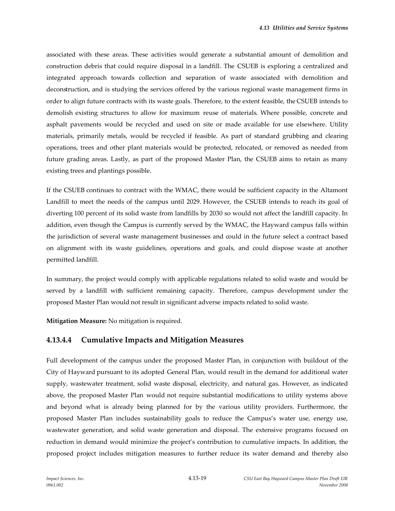associated with these areas. These activities would generate a substantial amount of demolition and construction debris that could require disposal in a landfill. The CSUEB is exploring a centralized and integrated approach towards collection and separation of waste associated with demolition and deconstruction, and is studying the services offered by the various regional waste management firms in order to align future contracts with its waste goals. Therefore, to the extent feasible, the CSUEB intends to demolish existing structures to allow for maximum reuse of materials. Where possible, concrete and asphalt pavements would be recycled and used on site or made available for use elsewhere. Utility materials, primarily metals, would be recycled if feasible. As part of standard grubbing and clearing operations, trees and other plant materials would be protected, relocated, or removed as needed from future grading areas. Lastly, as part of the proposed Master Plan, the CSUEB aims to retain as many existing trees and plantings possible.

If the CSUEB continues to contract with the WMAC, there would be sufficient capacity in the Altamont Landfill to meet the needs of the campus until 2029. However, the CSUEB intends to reach its goal of diverting 100 percent of its solid waste from landfills by 2030 so would not affect the landfill capacity. In addition, even though the Campus is currently served by the WMAC, the Hayward campus falls within the jurisdiction of several waste management businesses and could in the future select a contract based on alignment with its waste guidelines, operations and goals, and could dispose waste at another permitted landfill.

In summary, the project would comply with applicable regulations related to solid waste and would be served by a landfill with sufficient remaining capacity. Therefore, campus development under the proposed Master Plan would not result in significant adverse impacts related to solid waste.

**Mitigation Measure:** No mitigation is required.

## **4.13.4.4 Cumulative Impacts and Mitigation Measures**

Full development of the campus under the proposed Master Plan, in conjunction with buildout of the City of Hayward pursuant to its adopted General Plan, would result in the demand for additional water supply, wastewater treatment, solid waste disposal, electricity, and natural gas. However, as indicated above, the proposed Master Plan would not require substantial modifications to utility systems above and beyond what is already being planned for by the various utility providers. Furthermore, the proposed Master Plan includes sustainability goals to reduce the Campus's water use, energy use, wastewater generation, and solid waste generation and disposal. The extensive programs focused on reduction in demand would minimize the project's contribution to cumulative impacts. In addition, the proposed project includes mitigation measures to further reduce its water demand and thereby also